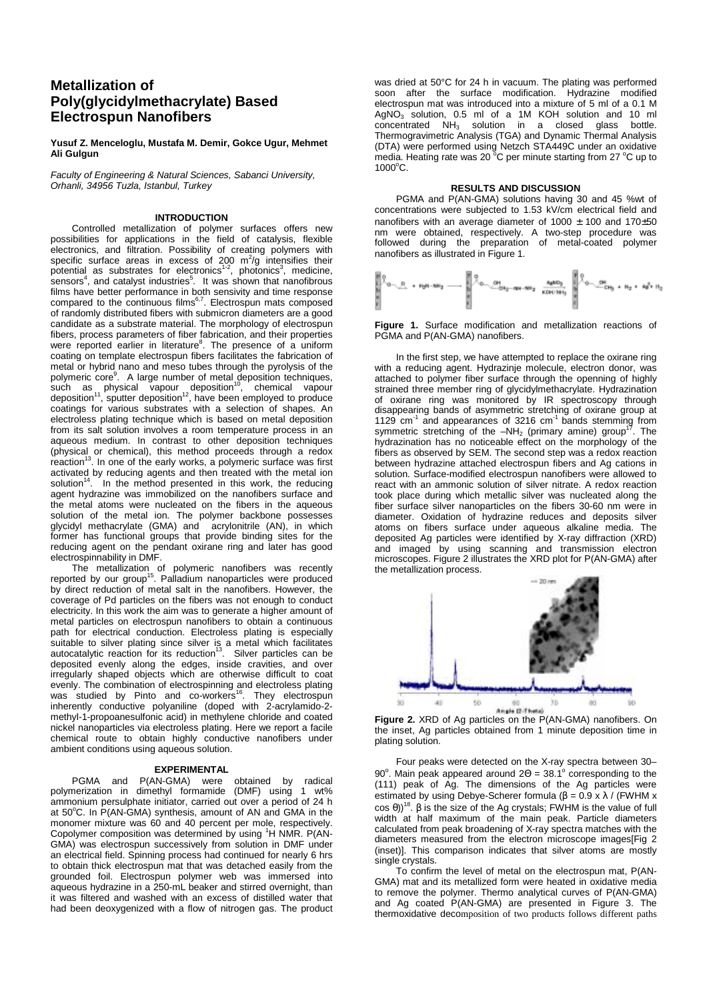# **Metallization of Poly(glycidylmethacrylate) Based Electrospun Nanofibers**

**Yusuf Z. Menceloglu, Mustafa M. Demir, Gokce Ugur, Mehmet Ali Gulgun** 

*Faculty of Engineering & Natural Sciences, Sabanci University, Orhanli, 34956 Tuzla, Istanbul, Turkey* 

## **INTRODUCTION**

Controlled metallization of polymer surfaces offers new possibilities for applications in the field of catalysis, flexible electronics, and filtration. Possibility of creating polymers with specific surface areas in excess of 200 m<sup>2</sup>/g intensifies their potential as substrates for electronics<sup>1-2</sup>, photonics<sup>3</sup>, medicine, sensors<sup>4</sup>, and catalyst industries<sup>5</sup>. It was shown that nanofibrous films have better performance in both sensivity and time response  $1001$  may be better performance in both scholarly and any cooperation composed of randomly distributed fibers with submicron diameters are a good candidate as a substrate material. The morphology of electrospun fibers, process parameters of fiber fabrication, and their properties were reported earlier in literature<sup>8</sup>. The presence of a uniform coating on template electrospun fibers facilitates the fabrication of metal or hybrid nano and meso tubes through the pyrolysis of the polymeric core<sup>9</sup>. A large number of metal deposition techniques,<br>such as physical vapour deposition<sup>10</sup>, chemical vapour deposition<sup>11</sup>, sputter deposition<sup>12</sup>, have been employed to produce coatings for various substrates with a selection of shapes. An electroless plating technique which is based on metal deposition from its salt solution involves a room temperature process in an aqueous medium. In contrast to other deposition techniques (physical or chemical), this method proceeds through a redox reaction<sup>13</sup>. In one of the early works, a polymeric surface was first activated by reducing agents and then treated with the metal ion solution<sup>14</sup>. In the method presented in this work, the reducing agent hydrazine was immobilized on the nanofibers surface and the metal atoms were nucleated on the fibers in the aqueous solution of the metal ion. The polymer backbone possesses glycidyl methacrylate (GMA) and acrylonitrile (AN), in which former has functional groups that provide binding sites for the reducing agent on the pendant oxirane ring and later has good electrospinnability in DMF.

The metallization of polymeric nanofibers was recently reported by our group<sup>15</sup>. Palladium nanoparticles were produced by direct reduction of metal salt in the nanofibers. However, the coverage of Pd particles on the fibers was not enough to conduct electricity. In this work the aim was to generate a higher amount of metal particles on electrospun nanofibers to obtain a continuous path for electrical conduction. Electroless plating is especially suitable to silver plating since silver is a metal which facilitates<br>autocatalytic reaction for its reduction<sup>13</sup>. Silver particles can be deposited evenly along the edges, inside cravities, and over irregularly shaped objects which are otherwise difficult to coat evenly. The combination of electrospinning and electroless plating was studied by Pinto and co-workers<sup>16</sup>. They electrospun inherently conductive polyaniline (doped with 2-acrylamido-2 methyl-1-propoanesulfonic acid) in methylene chloride and coated nickel nanoparticles via electroless plating. Here we report a facile chemical route to obtain highly conductive nanofibers under ambient conditions using aqueous solution.

#### **EXPERIMENTAL**

PGMA and P(AN-GMA) were obtained by radical polymerization in dimethyl formamide (DMF) using 1 wt% ammonium persulphate initiator, carried out over a period of 24 h<br>at 50°C. In P(AN-GMA) synthesis, amount of AN and GMA in the monomer mixture was 60 and 40 percent per mole, respectively. Copolymer composition was determined by using <sup>1</sup>H NMR. P(AN-GMA) was electrospun successively from solution in DMF under an electrical field. Spinning process had continued for nearly 6 hrs to obtain thick electrospun mat that was detached easily from the grounded foil. Electrospun polymer web was immersed into aqueous hydrazine in a 250-mL beaker and stirred overnight, than it was filtered and washed with an excess of distilled water that had been deoxygenized with a flow of nitrogen gas. The product

was dried at 50°C for 24 h in vacuum. The plating was performed soon after the surface modification. Hydrazine modified electrospun mat was introduced into a mixture of 5 ml of a 0.1 M  $AgNO<sub>3</sub>$  solution, 0.5 ml of a 1M KOH solution and 10 ml concentrated NH<sub>3</sub> solution in a closed glass bottle. Thermogravimetric Analysis (TGA) and Dynamic Thermal Analysis (DTA) were performed using Netzch STA449C under an oxidative<br>media. Heating rate was 20 °C per minute starting from 27 °C up to 1000°C.

# **RESULTS AND DISCUSSION**

PGMA and P(AN-GMA) solutions having 30 and 45 %wt of concentrations were subjected to 1.53 kV/cm electrical field and nanofibers with an average diameter of 1000  $\pm$  100 and 170 $\pm$ 50 nm were obtained, respectively. A two-step procedure was followed during the preparation of metal-coated polymer nanofibers as illustrated in Figure 1.

**Figure 1.** Surface modification and metallization reactions of PGMA and P(AN-GMA) nanofibers.

In the first step, we have attempted to replace the oxirane ring with a reducing agent. Hydrazinje molecule, electron donor, was attached to polymer fiber surface through the openning of highly strained three member ring of glycidylmethacrylate. Hydrazination of oxirane ring was monitored by IR spectroscopy through disappearing bands of asymmetric stretching of oxirane group at 1129 cm<sup>-1</sup> and appearances of 3216 cm<sup>-1</sup> bands stemming from symmetric stretching of the –NH<sub>2</sub> (primary amine) group<sup>17</sup>. The hydrazination has no noticeable effect on the morphology of the fibers as observed by SEM. The second step was a redox reaction between hydrazine attached electrospun fibers and Ag cations in solution. Surface-modified electrospun nanofibers were allowed to react with an ammonic solution of silver nitrate. A redox reaction took place during which metallic silver was nucleated along the fiber surface silver nanoparticles on the fibers 30-60 nm were in diameter. Oxidation of hydrazine reduces and deposits silver atoms on fibers surface under aqueous alkaline media. The deposited Ag particles were identified by X-ray diffraction (XRD) and imaged by using scanning and transmission electron microscopes. Figure 2 illustrates the XRD plot for P(AN-GMA) after the metallization process.



**Figure 2.** XRD of Ag particles on the P(AN-GMA) nanofibers. On the inset, Ag particles obtained from 1 minute deposition time in plating solution.

Four peaks were detected on the X-ray spectra between 30– 90°. Main peak appeared around  $2\Theta = 38.1^\circ$  corresponding to the (111) peak of Ag. The dimensions of the Ag particles were estimated by using Debye-Scherer formula ( $\beta = 0.9 \times \lambda$  / (FWHM x  $cos θ$ ))<sup>18</sup>. β is the size of the Ag crystals; FWHM is the value of full width at half maximum of the main peak. Particle diameters calculated from peak broadening of X-ray spectra matches with the diameters measured from the electron microscope images[Fig 2 (inset)]. This comparison indicates that silver atoms are mostly single crystals.

To confirm the level of metal on the electrospun mat, P(AN-GMA) mat and its metallized form were heated in oxidative media to remove the polymer. Thermo analytical curves of P(AN-GMA) and Ag coated P(AN-GMA) are presented in Figure 3. The thermoxidative decomposition of two products follows different paths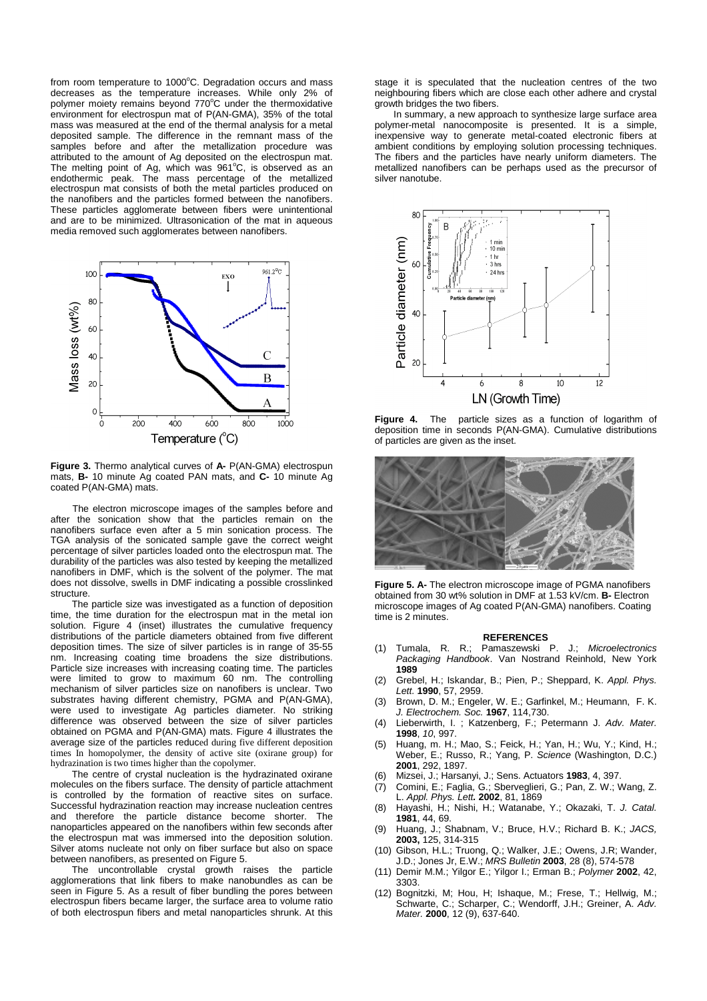from room temperature to  $1000^{\circ}$ C. Degradation occurs and mass decreases as the temperature increases. While only 2% of polymer moiety remains beyond 770°C under the thermoxidative environment for electrospun mat of P(AN-GMA), 35% of the total mass was measured at the end of the thermal analysis for a metal deposited sample. The difference in the remnant mass of the samples before and after the metallization procedure was attributed to the amount of Ag deposited on the electrospun mat. The melting point of Ag, which was 961°C, is observed as an endothermic peak. The mass percentage of the metallized electrospun mat consists of both the metal particles produced on the nanofibers and the particles formed between the nanofibers. These particles agglomerate between fibers were unintentional and are to be minimized. Ultrasonication of the mat in aqueous media removed such agglomerates between nanofibers.



**Figure 3.** Thermo analytical curves of **A-** P(AN-GMA) electrospun mats, **B-** 10 minute Ag coated PAN mats, and **C-** 10 minute Ag coated P(AN-GMA) mats.

The electron microscope images of the samples before and after the sonication show that the particles remain on the nanofibers surface even after a 5 min sonication process. The TGA analysis of the sonicated sample gave the correct weight percentage of silver particles loaded onto the electrospun mat. The durability of the particles was also tested by keeping the metallized nanofibers in DMF, which is the solvent of the polymer. The mat does not dissolve, swells in DMF indicating a possible crosslinked structure.

The particle size was investigated as a function of deposition time, the time duration for the electrospun mat in the metal ion solution. Figure 4 (inset) illustrates the cumulative frequency distributions of the particle diameters obtained from five different deposition times. The size of silver particles is in range of 35-55 nm. Increasing coating time broadens the size distributions. Particle size increases with increasing coating time. The particles were limited to grow to maximum 60 nm. The controlling mechanism of silver particles size on nanofibers is unclear. Two substrates having different chemistry, PGMA and P(AN-GMA), were used to investigate Ag particles diameter. No striking difference was observed between the size of silver particles obtained on PGMA and P(AN-GMA) mats. Figure 4 illustrates the average size of the particles reduced during five different deposition times In homopolymer, the density of active site (oxirane group) for hydrazination is two times higher than the copolymer.

The centre of crystal nucleation is the hydrazinated oxirane molecules on the fibers surface. The density of particle attachment is controlled by the formation of reactive sites on surface. Successful hydrazination reaction may increase nucleation centres and therefore the particle distance become shorter. The nanoparticles appeared on the nanofibers within few seconds after the electrospun mat was immersed into the deposition solution. Silver atoms nucleate not only on fiber surface but also on space between nanofibers, as presented on Figure 5.

The uncontrollable crystal growth raises the particle agglomerations that link fibers to make nanobundles as can be seen in Figure 5. As a result of fiber bundling the pores between electrospun fibers became larger, the surface area to volume ratio of both electrospun fibers and metal nanoparticles shrunk. At this stage it is speculated that the nucleation centres of the two neighbouring fibers which are close each other adhere and crystal growth bridges the two fibers.

In summary, a new approach to synthesize large surface area polymer-metal nanocomposite is presented. It is a simple, inexpensive way to generate metal-coated electronic fibers at ambient conditions by employing solution processing techniques. The fibers and the particles have nearly uniform diameters. The metallized nanofibers can be perhaps used as the precursor of silver nanotube.



**Figure 4.** The particle sizes as a function of logarithm of deposition time in seconds P(AN-GMA). Cumulative distributions of particles are given as the inset.



**Figure 5. A-** The electron microscope image of PGMA nanofibers obtained from 30 wt% solution in DMF at 1.53 kV/cm. **B-** Electron microscope images of Ag coated P(AN-GMA) nanofibers. Coating time is 2 minutes.

### **REFERENCES**

- (1) Tumala, R. R.; Pamaszewski P. J.; *Microelectronics Packaging Handbook*. Van Nostrand Reinhold, New York **1989**
- (2) Grebel, H.; Iskandar, B.; Pien, P.; Sheppard, K. *Appl. Phys. Lett.* **1990**, 57, 2959.
- (3) Brown, D. M.; Engeler, W. E.; Garfinkel, M.; Heumann, F. K. *J. Electrochem. Soc.* **1967**, 114,730.
- (4) Lieberwirth, I. ; Katzenberg, F.; Petermann J. *Adv. Mater.* **1998**, *10*, 997.
- (5) Huang, m. H.; Mao, S.; Feick, H.; Yan, H.; Wu, Y.; Kind, H.; Weber, E.; Russo, R.; Yang, P. *Science* (Washington, D.C.) **2001**, 292, 1897.
- (6) Mizsei, J.; Harsanyi, J.; Sens. Actuators **1983**, 4, 397.
- (7) Comini, E.; Faglia, G.; Sberveglieri, G.; Pan, Z. W.; Wang, Z. L. *Appl. Phys. Lett.* **2002**, 81, 1869
- (8) Hayashi, H.; Nishi, H.; Watanabe, Y.; Okazaki, T. *J. Catal.* **1981**, 44, 69.
- (9) Huang, J.; Shabnam, V.; Bruce, H.V.; Richard B. K.; *JACS,* **2003,** 125, 314-315
- (10) Gibson, H.L.; Truong, Q.; Walker, J.E.; Owens, J.R; Wander, J.D.; Jones Jr, E.W.; *MRS Bulletin* **2003**, 28 (8), 574-578
- (11) Demir M.M.; Yilgor E.; Yilgor I.; Erman B.; *Polymer* **2002**, 42, 3303.
- (12) Bognitzki, M; Hou, H; Ishaque, M.; Frese, T.; Hellwig, M.; Schwarte, C.; Scharper, C.; Wendorff, J.H.; Greiner, A. *Adv. Mater.* **2000**, 12 (9), 637-640.